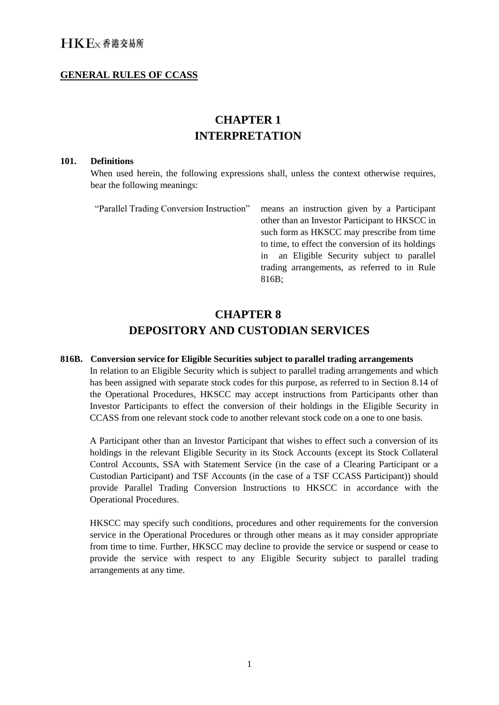### **GENERAL RULES OF CCASS**

### **CHAPTER 1 INTERPRETATION**

### **101. Definitions**

When used herein, the following expressions shall, unless the context otherwise requires, bear the following meanings:

| "Parallel Trading Conversion Instruction" | means an instruction given by a Participant       |
|-------------------------------------------|---------------------------------------------------|
|                                           | other than an Investor Participant to HKSCC in    |
|                                           | such form as HKSCC may prescribe from time        |
|                                           | to time, to effect the conversion of its holdings |
|                                           | an Eligible Security subject to parallel<br>1n    |
|                                           | trading arrangements, as referred to in Rule      |
|                                           | 816B;                                             |
|                                           |                                                   |

### **CHAPTER 8 DEPOSITORY AND CUSTODIAN SERVICES**

#### **816B. Conversion service for Eligible Securities subject to parallel trading arrangements**

In relation to an Eligible Security which is subject to parallel trading arrangements and which has been assigned with separate stock codes for this purpose, as referred to in Section 8.14 of the Operational Procedures, HKSCC may accept instructions from Participants other than Investor Participants to effect the conversion of their holdings in the Eligible Security in CCASS from one relevant stock code to another relevant stock code on a one to one basis.

A Participant other than an Investor Participant that wishes to effect such a conversion of its holdings in the relevant Eligible Security in its Stock Accounts (except its Stock Collateral Control Accounts, SSA with Statement Service (in the case of a Clearing Participant or a Custodian Participant) and TSF Accounts (in the case of a TSF CCASS Participant)) should provide Parallel Trading Conversion Instructions to HKSCC in accordance with the Operational Procedures.

HKSCC may specify such conditions, procedures and other requirements for the conversion service in the Operational Procedures or through other means as it may consider appropriate from time to time. Further, HKSCC may decline to provide the service or suspend or cease to provide the service with respect to any Eligible Security subject to parallel trading arrangements at any time.